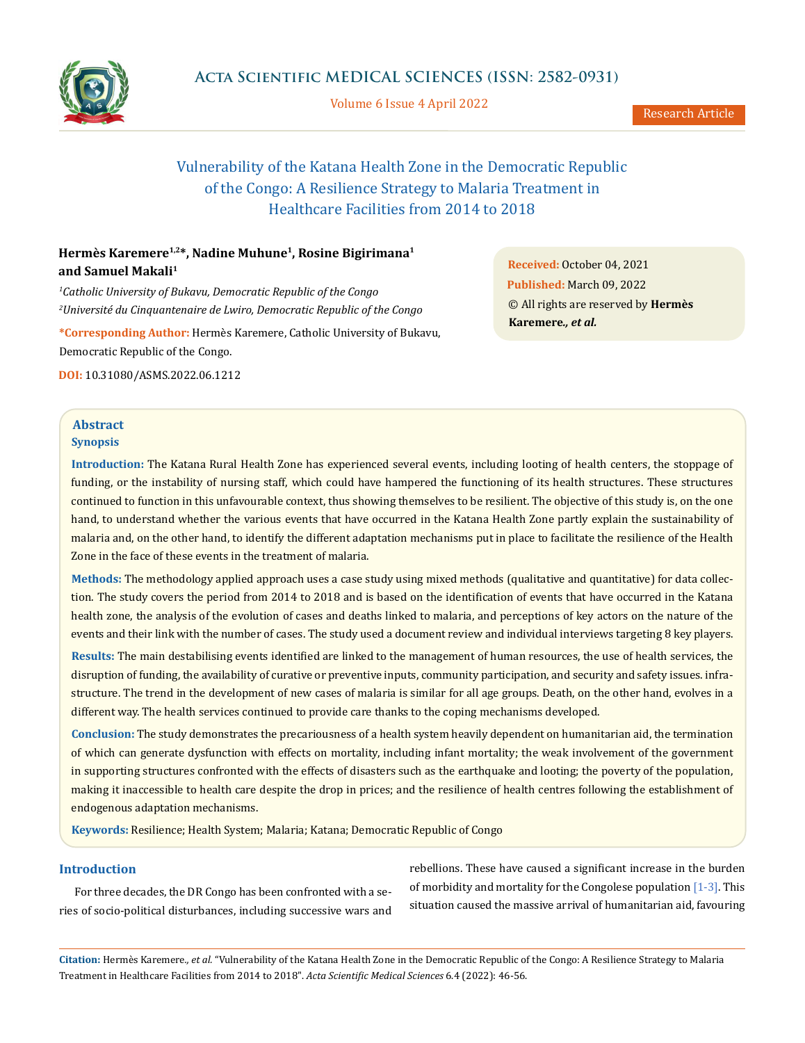

Volume 6 Issue 4 April 2022

Research Article

# Vulnerability of the Katana Health Zone in the Democratic Republic of the Congo: A Resilience Strategy to Malaria Treatment in Healthcare Facilities from 2014 to 2018

# **Hermès Karemere1,2\*, Nadine Muhune1, Rosine Bigirimana1 and Samuel Makali1**

*1 Catholic University of Bukavu, Democratic Republic of the Congo 2 Université du Cinquantenaire de Lwiro, Democratic Republic of the Congo*

**\*Corresponding Author:** Hermès Karemere, Catholic University of Bukavu, Democratic Republic of the Congo.

**DOI:** [10.31080/ASMS.2022.06.12](http://actascientific.com/ASMS/pdf/ASMS-06-1212.pdf)12

# **Abstract Synopsis**

**Introduction:** The Katana Rural Health Zone has experienced several events, including looting of health centers, the stoppage of funding, or the instability of nursing staff, which could have hampered the functioning of its health structures. These structures continued to function in this unfavourable context, thus showing themselves to be resilient. The objective of this study is, on the one hand, to understand whether the various events that have occurred in the Katana Health Zone partly explain the sustainability of malaria and, on the other hand, to identify the different adaptation mechanisms put in place to facilitate the resilience of the Health Zone in the face of these events in the treatment of malaria.

**Methods:** The methodology applied approach uses a case study using mixed methods (qualitative and quantitative) for data collection. The study covers the period from 2014 to 2018 and is based on the identification of events that have occurred in the Katana health zone, the analysis of the evolution of cases and deaths linked to malaria, and perceptions of key actors on the nature of the events and their link with the number of cases. The study used a document review and individual interviews targeting 8 key players.

**Results:** The main destabilising events identified are linked to the management of human resources, the use of health services, the disruption of funding, the availability of curative or preventive inputs, community participation, and security and safety issues. infrastructure. The trend in the development of new cases of malaria is similar for all age groups. Death, on the other hand, evolves in a different way. The health services continued to provide care thanks to the coping mechanisms developed.

**Conclusion:** The study demonstrates the precariousness of a health system heavily dependent on humanitarian aid, the termination of which can generate dysfunction with effects on mortality, including infant mortality; the weak involvement of the government in supporting structures confronted with the effects of disasters such as the earthquake and looting; the poverty of the population, making it inaccessible to health care despite the drop in prices; and the resilience of health centres following the establishment of endogenous adaptation mechanisms.

**Keywords:** Resilience; Health System; Malaria; Katana; Democratic Republic of Congo

# **Introduction**

For three decades, the DR Congo has been confronted with a series of socio-political disturbances, including successive wars and

rebellions. These have caused a significant increase in the burden of morbidity and mortality for the Congolese population  $[1-3]$ . This situation caused the massive arrival of humanitarian aid, favouring

**Citation:** Hermès Karemere*., et al.* "Vulnerability of the Katana Health Zone in the Democratic Republic of the Congo: A Resilience Strategy to Malaria Treatment in Healthcare Facilities from 2014 to 2018". *Acta Scientific Medical Sciences* 6.4 (2022): 46-56.

**Received:** October 04, 2021 **Published:** March 09, 2022 © All rights are reserved by **Hermès Karemere***., et al.*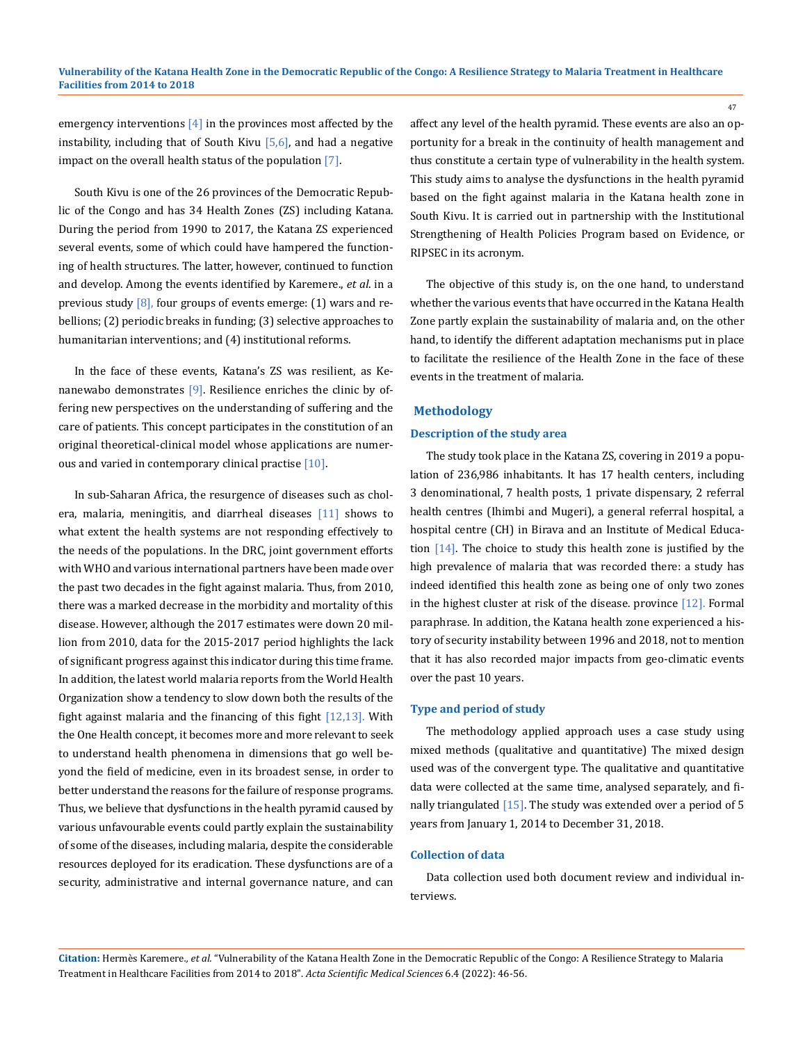emergency interventions  $[4]$  in the provinces most affected by the instability, including that of South Kivu  $[5,6]$ , and had a negative impact on the overall health status of the population [7].

South Kivu is one of the 26 provinces of the Democratic Republic of the Congo and has 34 Health Zones (ZS) including Katana. During the period from 1990 to 2017, the Katana ZS experienced several events, some of which could have hampered the functioning of health structures. The latter, however, continued to function and develop. Among the events identified by Karemere., *et al*. in a previous study [8], four groups of events emerge: (1) wars and rebellions; (2) periodic breaks in funding; (3) selective approaches to humanitarian interventions; and (4) institutional reforms.

In the face of these events, Katana's ZS was resilient, as Kenanewabo demonstrates [9]. Resilience enriches the clinic by offering new perspectives on the understanding of suffering and the care of patients. This concept participates in the constitution of an original theoretical-clinical model whose applications are numerous and varied in contemporary clinical practise  $[10]$ .

In sub-Saharan Africa, the resurgence of diseases such as cholera, malaria, meningitis, and diarrheal diseases [11] shows to what extent the health systems are not responding effectively to the needs of the populations. In the DRC, joint government efforts with WHO and various international partners have been made over the past two decades in the fight against malaria. Thus, from 2010, there was a marked decrease in the morbidity and mortality of this disease. However, although the 2017 estimates were down 20 million from 2010, data for the 2015-2017 period highlights the lack of significant progress against this indicator during this time frame. In addition, the latest world malaria reports from the World Health Organization show a tendency to slow down both the results of the fight against malaria and the financing of this fight [12,13]. With the One Health concept, it becomes more and more relevant to seek to understand health phenomena in dimensions that go well beyond the field of medicine, even in its broadest sense, in order to better understand the reasons for the failure of response programs. Thus, we believe that dysfunctions in the health pyramid caused by various unfavourable events could partly explain the sustainability of some of the diseases, including malaria, despite the considerable resources deployed for its eradication. These dysfunctions are of a security, administrative and internal governance nature, and can affect any level of the health pyramid. These events are also an opportunity for a break in the continuity of health management and thus constitute a certain type of vulnerability in the health system. This study aims to analyse the dysfunctions in the health pyramid based on the fight against malaria in the Katana health zone in South Kivu. It is carried out in partnership with the Institutional Strengthening of Health Policies Program based on Evidence, or RIPSEC in its acronym.

The objective of this study is, on the one hand, to understand whether the various events that have occurred in the Katana Health Zone partly explain the sustainability of malaria and, on the other hand, to identify the different adaptation mechanisms put in place to facilitate the resilience of the Health Zone in the face of these events in the treatment of malaria.

### **Methodology**

## **Description of the study area**

The study took place in the Katana ZS, covering in 2019 a population of 236,986 inhabitants. It has 17 health centers, including 3 denominational, 7 health posts, 1 private dispensary, 2 referral health centres (Ihimbi and Mugeri), a general referral hospital, a hospital centre (CH) in Birava and an Institute of Medical Education [14]. The choice to study this health zone is justified by the high prevalence of malaria that was recorded there: a study has indeed identified this health zone as being one of only two zones in the highest cluster at risk of the disease. province  $[12]$ . Formal paraphrase. In addition, the Katana health zone experienced a history of security instability between 1996 and 2018, not to mention that it has also recorded major impacts from geo-climatic events over the past 10 years.

#### **Type and period of study**

The methodology applied approach uses a case study using mixed methods (qualitative and quantitative) The mixed design used was of the convergent type. The qualitative and quantitative data were collected at the same time, analysed separately, and finally triangulated  $[15]$ . The study was extended over a period of 5 years from January 1, 2014 to December 31, 2018.

#### **Collection of data**

Data collection used both document review and individual interviews.

**Citation:** Hermès Karemere*., et al.* "Vulnerability of the Katana Health Zone in the Democratic Republic of the Congo: A Resilience Strategy to Malaria Treatment in Healthcare Facilities from 2014 to 2018". *Acta Scientific Medical Sciences* 6.4 (2022): 46-56.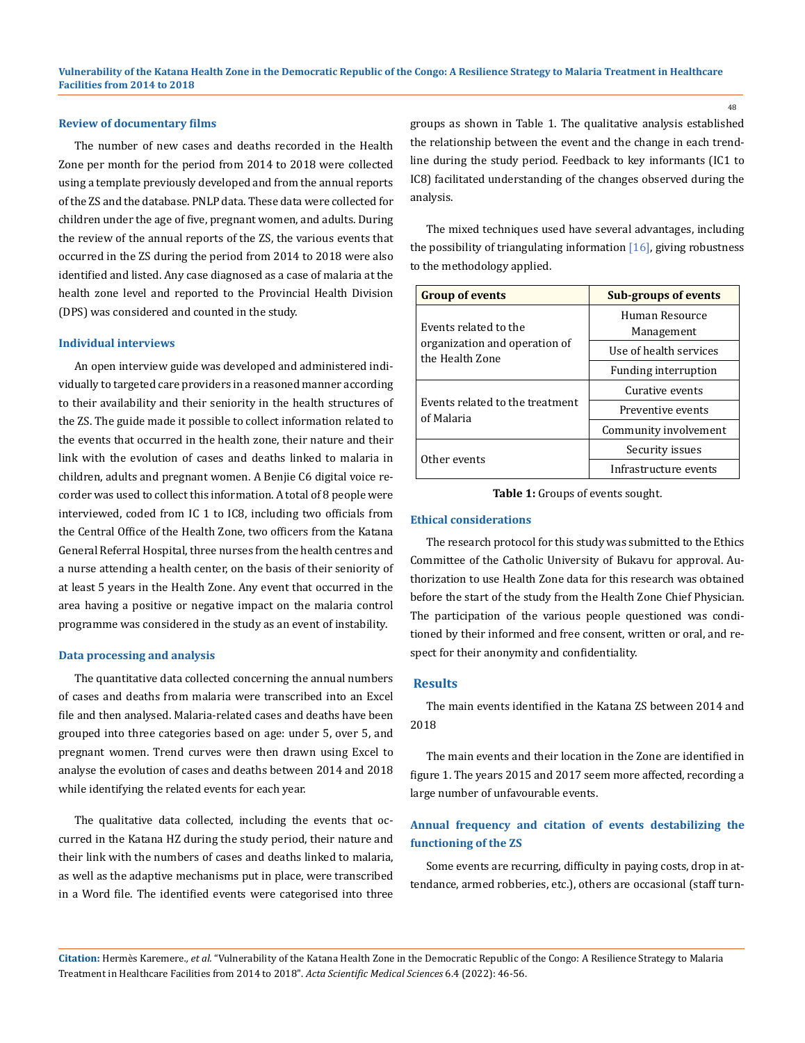#### **Review of documentary films**

The number of new cases and deaths recorded in the Health Zone per month for the period from 2014 to 2018 were collected using a template previously developed and from the annual reports of the ZS and the database. PNLP data. These data were collected for children under the age of five, pregnant women, and adults. During the review of the annual reports of the ZS, the various events that occurred in the ZS during the period from 2014 to 2018 were also identified and listed. Any case diagnosed as a case of malaria at the health zone level and reported to the Provincial Health Division (DPS) was considered and counted in the study.

#### **Individual interviews**

An open interview guide was developed and administered individually to targeted care providers in a reasoned manner according to their availability and their seniority in the health structures of the ZS. The guide made it possible to collect information related to the events that occurred in the health zone, their nature and their link with the evolution of cases and deaths linked to malaria in children, adults and pregnant women. A Benjie C6 digital voice recorder was used to collect this information. A total of 8 people were interviewed, coded from IC 1 to IC8, including two officials from the Central Office of the Health Zone, two officers from the Katana General Referral Hospital, three nurses from the health centres and a nurse attending a health center, on the basis of their seniority of at least 5 years in the Health Zone. Any event that occurred in the area having a positive or negative impact on the malaria control programme was considered in the study as an event of instability.

#### **Data processing and analysis**

The quantitative data collected concerning the annual numbers of cases and deaths from malaria were transcribed into an Excel file and then analysed. Malaria-related cases and deaths have been grouped into three categories based on age: under 5, over 5, and pregnant women. Trend curves were then drawn using Excel to analyse the evolution of cases and deaths between 2014 and 2018 while identifying the related events for each year.

The qualitative data collected, including the events that occurred in the Katana HZ during the study period, their nature and their link with the numbers of cases and deaths linked to malaria, as well as the adaptive mechanisms put in place, were transcribed in a Word file. The identified events were categorised into three groups as shown in Table 1. The qualitative analysis established the relationship between the event and the change in each trendline during the study period. Feedback to key informants (IC1 to IC8) facilitated understanding of the changes observed during the analysis.

The mixed techniques used have several advantages, including the possibility of triangulating information  $[16]$ , giving robustness to the methodology applied.

| <b>Group of events</b>                           | <b>Sub-groups of events</b>  |  |  |
|--------------------------------------------------|------------------------------|--|--|
| Events related to the                            | Human Resource<br>Management |  |  |
| organization and operation of<br>the Health Zone | Use of health services       |  |  |
|                                                  | Funding interruption         |  |  |
|                                                  | Curative events              |  |  |
| Events related to the treatment<br>of Malaria    | Preventive events            |  |  |
|                                                  | Community involvement        |  |  |
| Other events                                     | Security issues              |  |  |
|                                                  | Infrastructure events        |  |  |

**Table 1:** Groups of events sought.

## **Ethical considerations**

The research protocol for this study was submitted to the Ethics Committee of the Catholic University of Bukavu for approval. Authorization to use Health Zone data for this research was obtained before the start of the study from the Health Zone Chief Physician. The participation of the various people questioned was conditioned by their informed and free consent, written or oral, and respect for their anonymity and confidentiality.

#### **Results**

The main events identified in the Katana ZS between 2014 and 2018

The main events and their location in the Zone are identified in figure 1. The years 2015 and 2017 seem more affected, recording a large number of unfavourable events.

# **Annual frequency and citation of events destabilizing the functioning of the ZS**

Some events are recurring, difficulty in paying costs, drop in attendance, armed robberies, etc.), others are occasional (staff turn-

**Citation:** Hermès Karemere*., et al.* "Vulnerability of the Katana Health Zone in the Democratic Republic of the Congo: A Resilience Strategy to Malaria Treatment in Healthcare Facilities from 2014 to 2018". *Acta Scientific Medical Sciences* 6.4 (2022): 46-56.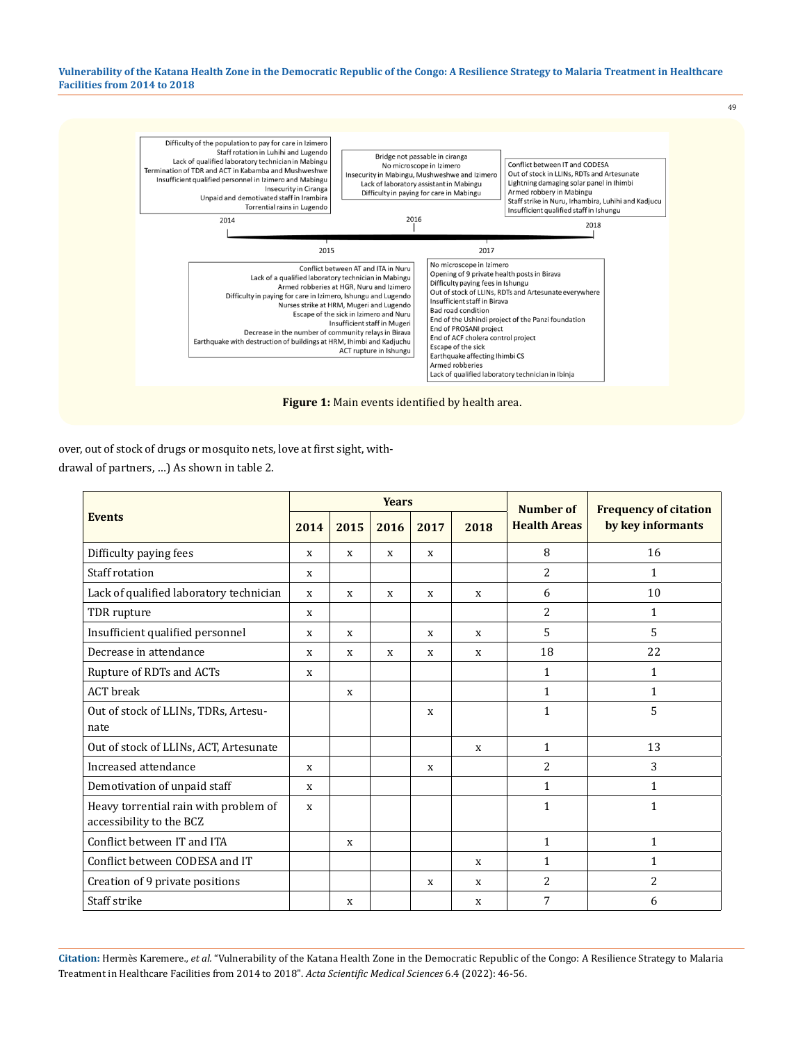

over, out of stock of drugs or mosquito nets, love at first sight, withdrawal of partners, …) As shown in table 2.

| <b>Events</b>                                                     | <b>Years</b> |             |             |      |             | Number of           | <b>Frequency of citation</b> |
|-------------------------------------------------------------------|--------------|-------------|-------------|------|-------------|---------------------|------------------------------|
|                                                                   | 2014         | 2015        | 2016        | 2017 | 2018        | <b>Health Areas</b> | by key informants            |
| Difficulty paying fees                                            | X            | X           | X           | X    |             | 8                   | 16                           |
| Staff rotation                                                    | X            |             |             |      |             | $\overline{2}$      | 1                            |
| Lack of qualified laboratory technician                           | X            | $\mathbf x$ | $\mathbf x$ | X    | X           | 6                   | 10                           |
| TDR rupture                                                       | X            |             |             |      |             | 2                   | $\mathbf{1}$                 |
| Insufficient qualified personnel                                  | X            | X           |             | X    | X           | 5                   | 5                            |
| Decrease in attendance                                            | X            | X           | $\mathbf x$ | X    | X           | 18                  | 22                           |
| Rupture of RDTs and ACTs                                          | X            |             |             |      |             | 1                   | $\mathbf{1}$                 |
| <b>ACT</b> break                                                  |              | X           |             |      |             | 1                   | $\mathbf{1}$                 |
| Out of stock of LLINs, TDRs, Artesu-<br>nate                      |              |             |             | X    |             | 1                   | 5                            |
| Out of stock of LLINs, ACT, Artesunate                            |              |             |             |      | $\mathbf x$ | 1                   | 13                           |
| Increased attendance                                              | X            |             |             | X    |             | $\overline{2}$      | 3                            |
| Demotivation of unpaid staff                                      | $\mathbf x$  |             |             |      |             | $\mathbf{1}$        | $\mathbf{1}$                 |
| Heavy torrential rain with problem of<br>accessibility to the BCZ | X            |             |             |      |             | $\mathbf{1}$        | $\mathbf{1}$                 |
| Conflict between IT and ITA                                       |              | X           |             |      |             | $\mathbf{1}$        | $\mathbf{1}$                 |
| Conflict between CODESA and IT                                    |              |             |             |      | X           | $\mathbf{1}$        | $\mathbf{1}$                 |
| Creation of 9 private positions                                   |              |             |             | X    | X           | 2                   | 2                            |
| Staff strike                                                      |              | X           |             |      | $\mathbf x$ | 7                   | 6                            |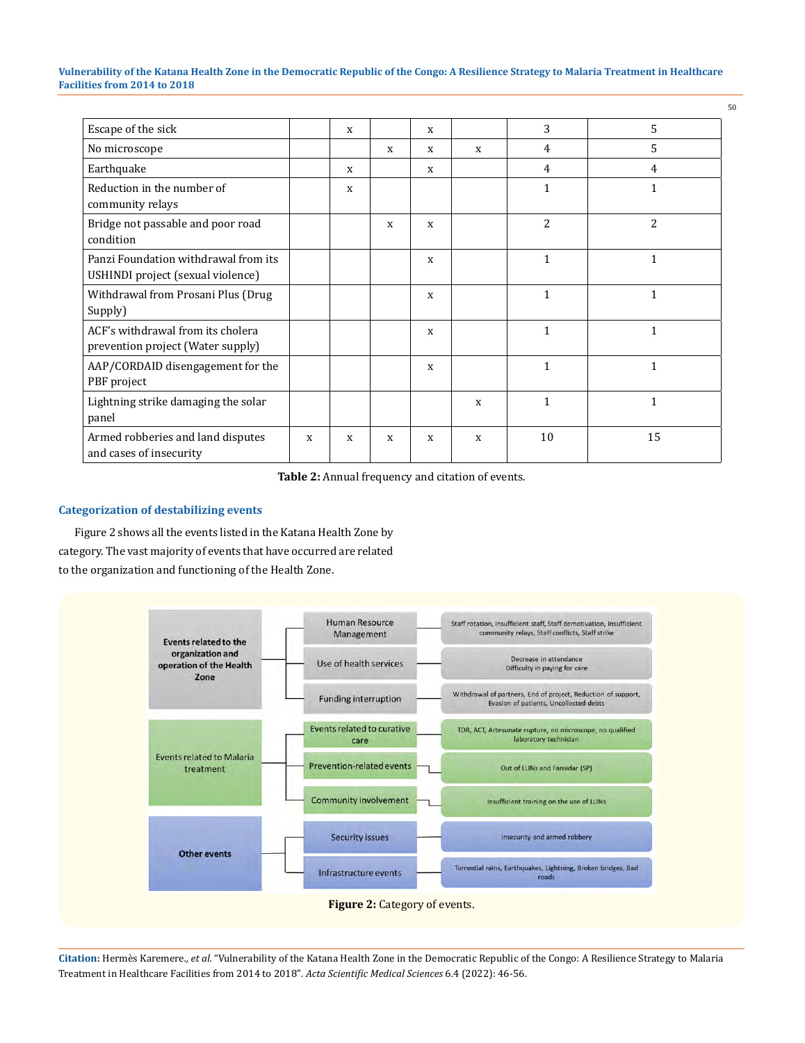| Escape of the sick                                                        |   | X |   | $\mathbf x$  |   | 3              | 5              |
|---------------------------------------------------------------------------|---|---|---|--------------|---|----------------|----------------|
| No microscope                                                             |   |   | X | $\mathbf{x}$ | X | 4              | 5              |
| Earthquake                                                                |   | X |   | X            |   | $\overline{4}$ | $\overline{4}$ |
| Reduction in the number of<br>community relays                            |   | X |   |              |   | $\mathbf{1}$   | $\mathbf{1}$   |
| Bridge not passable and poor road<br>condition                            |   |   | X | $\mathbf{x}$ |   | 2              | $\overline{2}$ |
| Panzi Foundation withdrawal from its<br>USHINDI project (sexual violence) |   |   |   | X            |   | $\mathbf{1}$   | $\mathbf{1}$   |
| Withdrawal from Prosani Plus (Drug<br>Supply)                             |   |   |   | $\mathbf{x}$ |   | $\mathbf{1}$   | $\mathbf{1}$   |
| ACF's withdrawal from its cholera<br>prevention project (Water supply)    |   |   |   | $\mathbf{x}$ |   | $\mathbf{1}$   | $\mathbf{1}$   |
| AAP/CORDAID disengagement for the<br>PBF project                          |   |   |   | X            |   | $\mathbf{1}$   | $\mathbf{1}$   |
| Lightning strike damaging the solar<br>panel                              |   |   |   |              | X | $\mathbf{1}$   | $\mathbf{1}$   |
| Armed robberies and land disputes<br>and cases of insecurity              | X | X | X | $\mathbf{x}$ | X | 10             | 15             |

**Table 2:** Annual frequency and citation of events.

# **Categorization of destabilizing events**

Figure 2 shows all the events listed in the Katana Health Zone by category. The vast majority of events that have occurred are related to the organization and functioning of the Health Zone.

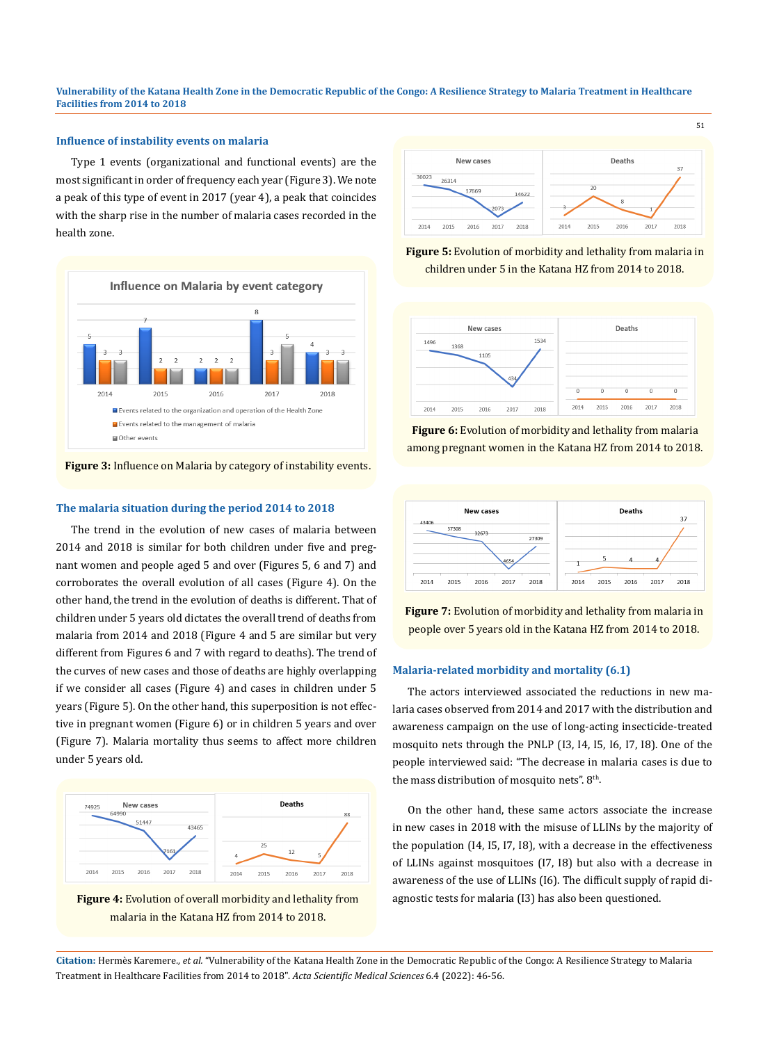# **Influence of instability events on malaria**

Type 1 events (organizational and functional events) are the most significant in order of frequency each year (Figure 3). We note a peak of this type of event in 2017 (year 4), a peak that coincides with the sharp rise in the number of malaria cases recorded in the health zone.



## **Figure 3:** Influence on Malaria by category of instability events.

#### **The malaria situation during the period 2014 to 2018**

The trend in the evolution of new cases of malaria between 2014 and 2018 is similar for both children under five and pregnant women and people aged 5 and over (Figures 5, 6 and 7) and corroborates the overall evolution of all cases (Figure 4). On the other hand, the trend in the evolution of deaths is different. That of children under 5 years old dictates the overall trend of deaths from malaria from 2014 and 2018 (Figure 4 and 5 are similar but very different from Figures 6 and 7 with regard to deaths). The trend of the curves of new cases and those of deaths are highly overlapping if we consider all cases (Figure 4) and cases in children under 5 years (Figure 5). On the other hand, this superposition is not effective in pregnant women (Figure 6) or in children 5 years and over (Figure 7). Malaria mortality thus seems to affect more children under 5 years old.







**Figure 5:** Evolution of morbidity and lethality from malaria in children under 5 in the Katana HZ from 2014 to 2018.



**Figure 6:** Evolution of morbidity and lethality from malaria among pregnant women in the Katana HZ from 2014 to 2018.



**Figure 7:** Evolution of morbidity and lethality from malaria in people over 5 years old in the Katana HZ from 2014 to 2018.

## **Malaria-related morbidity and mortality (6.1)**

The actors interviewed associated the reductions in new malaria cases observed from 2014 and 2017 with the distribution and awareness campaign on the use of long-acting insecticide-treated mosquito nets through the PNLP (I3, I4, I5, I6, I7, I8). One of the people interviewed said: "The decrease in malaria cases is due to the mass distribution of mosquito nets". 8<sup>th</sup>.

On the other hand, these same actors associate the increase in new cases in 2018 with the misuse of LLINs by the majority of the population (I4, I5, I7, I8), with a decrease in the effectiveness of LLINs against mosquitoes (I7, I8) but also with a decrease in awareness of the use of LLINs (I6). The difficult supply of rapid diagnostic tests for malaria (I3) has also been questioned.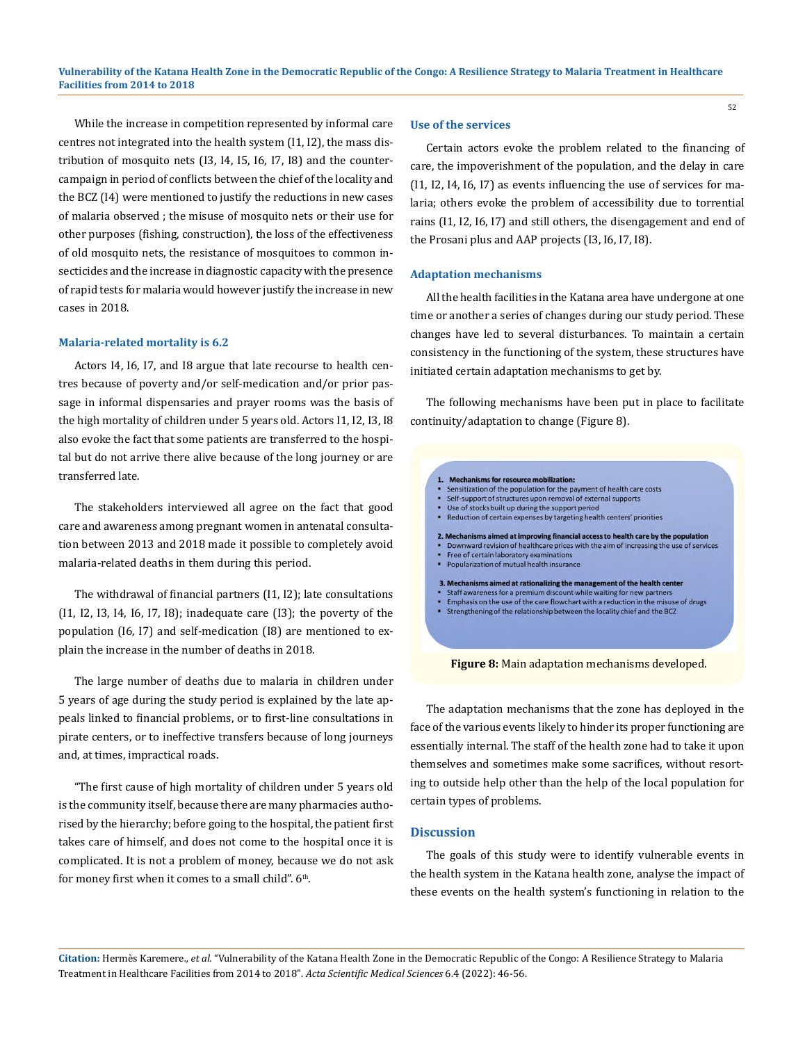While the increase in competition represented by informal care centres not integrated into the health system (I1, I2), the mass distribution of mosquito nets (I3, I4, I5, I6, I7, I8) and the countercampaign in period of conflicts between the chief of the locality and the BCZ (I4) were mentioned to justify the reductions in new cases of malaria observed ; the misuse of mosquito nets or their use for other purposes (fishing, construction), the loss of the effectiveness of old mosquito nets, the resistance of mosquitoes to common insecticides and the increase in diagnostic capacity with the presence of rapid tests for malaria would however justify the increase in new cases in 2018.

#### **Malaria-related mortality is 6.2**

Actors I4, I6, I7, and I8 argue that late recourse to health centres because of poverty and/or self-medication and/or prior passage in informal dispensaries and prayer rooms was the basis of the high mortality of children under 5 years old. Actors I1, I2, I3, I8 also evoke the fact that some patients are transferred to the hospital but do not arrive there alive because of the long journey or are transferred late.

The stakeholders interviewed all agree on the fact that good care and awareness among pregnant women in antenatal consultation between 2013 and 2018 made it possible to completely avoid malaria-related deaths in them during this period.

The withdrawal of financial partners (I1, I2); late consultations (I1, I2, I3, I4, I6, I7, I8); inadequate care (I3); the poverty of the population (I6, I7) and self-medication (I8) are mentioned to explain the increase in the number of deaths in 2018.

The large number of deaths due to malaria in children under 5 years of age during the study period is explained by the late appeals linked to financial problems, or to first-line consultations in pirate centers, or to ineffective transfers because of long journeys and, at times, impractical roads.

"The first cause of high mortality of children under 5 years old is the community itself, because there are many pharmacies authorised by the hierarchy; before going to the hospital, the patient first takes care of himself, and does not come to the hospital once it is complicated. It is not a problem of money, because we do not ask for money first when it comes to a small child".  $6<sup>th</sup>$ .

#### **Use of the services**

Certain actors evoke the problem related to the financing of care, the impoverishment of the population, and the delay in care (I1, I2, I4, I6, I7) as events influencing the use of services for malaria; others evoke the problem of accessibility due to torrential rains (I1, I2, I6, I7) and still others, the disengagement and end of the Prosani plus and AAP projects (I3, I6, I7, I8).

#### **Adaptation mechanisms**

All the health facilities in the Katana area have undergone at one time or another a series of changes during our study period. These changes have led to several disturbances. To maintain a certain consistency in the functioning of the system, these structures have initiated certain adaptation mechanisms to get by.

The following mechanisms have been put in place to facilitate continuity/adaptation to change (Figure 8).



**Figure 8:** Main adaptation mechanisms developed.

The adaptation mechanisms that the zone has deployed in the face of the various events likely to hinder its proper functioning are essentially internal. The staff of the health zone had to take it upon themselves and sometimes make some sacrifices, without resorting to outside help other than the help of the local population for certain types of problems.

## **Discussion**

The goals of this study were to identify vulnerable events in the health system in the Katana health zone, analyse the impact of these events on the health system's functioning in relation to the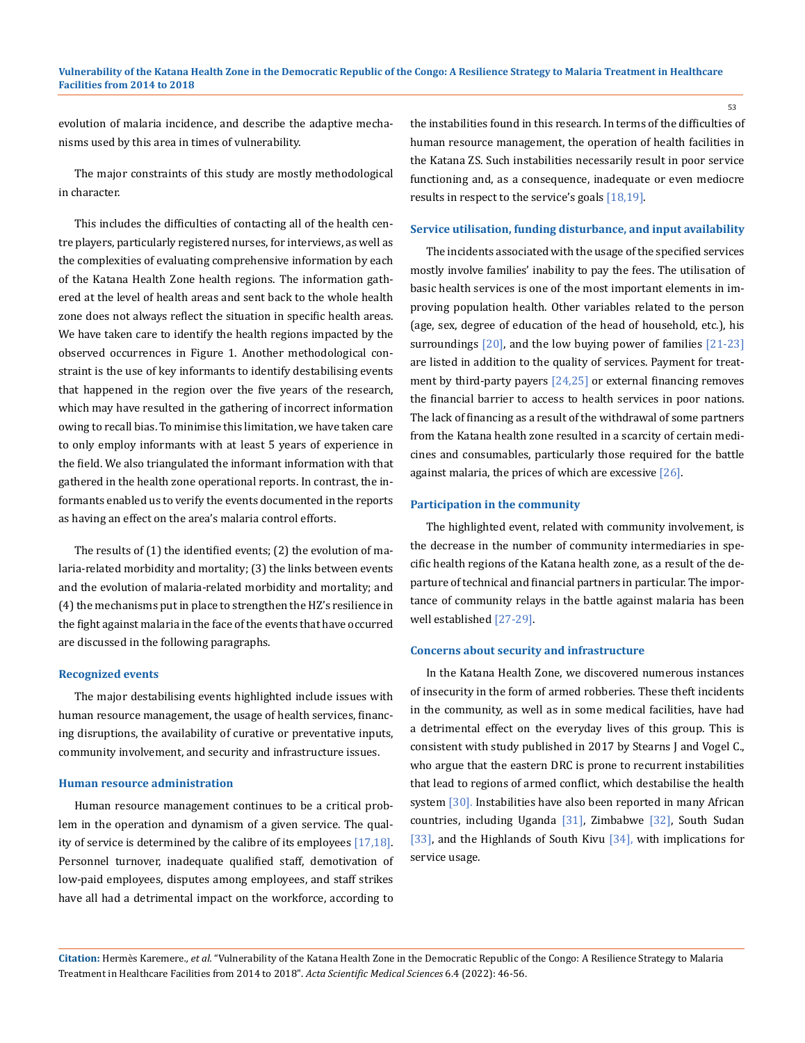evolution of malaria incidence, and describe the adaptive mechanisms used by this area in times of vulnerability.

The major constraints of this study are mostly methodological in character.

This includes the difficulties of contacting all of the health centre players, particularly registered nurses, for interviews, as well as the complexities of evaluating comprehensive information by each of the Katana Health Zone health regions. The information gathered at the level of health areas and sent back to the whole health zone does not always reflect the situation in specific health areas. We have taken care to identify the health regions impacted by the observed occurrences in Figure 1. Another methodological constraint is the use of key informants to identify destabilising events that happened in the region over the five years of the research, which may have resulted in the gathering of incorrect information owing to recall bias. To minimise this limitation, we have taken care to only employ informants with at least 5 years of experience in the field. We also triangulated the informant information with that gathered in the health zone operational reports. In contrast, the informants enabled us to verify the events documented in the reports as having an effect on the area's malaria control efforts.

The results of (1) the identified events; (2) the evolution of malaria-related morbidity and mortality; (3) the links between events and the evolution of malaria-related morbidity and mortality; and (4) the mechanisms put in place to strengthen the HZ's resilience in the fight against malaria in the face of the events that have occurred are discussed in the following paragraphs.

#### **Recognized events**

The major destabilising events highlighted include issues with human resource management, the usage of health services, financing disruptions, the availability of curative or preventative inputs, community involvement, and security and infrastructure issues.

## **Human resource administration**

Human resource management continues to be a critical problem in the operation and dynamism of a given service. The quality of service is determined by the calibre of its employees [17,18]. Personnel turnover, inadequate qualified staff, demotivation of low-paid employees, disputes among employees, and staff strikes have all had a detrimental impact on the workforce, according to

the instabilities found in this research. In terms of the difficulties of human resource management, the operation of health facilities in the Katana ZS. Such instabilities necessarily result in poor service functioning and, as a consequence, inadequate or even mediocre results in respect to the service's goals [18,19].

#### **Service utilisation, funding disturbance, and input availability**

The incidents associated with the usage of the specified services mostly involve families' inability to pay the fees. The utilisation of basic health services is one of the most important elements in improving population health. Other variables related to the person (age, sex, degree of education of the head of household, etc.), his surroundings  $[20]$ , and the low buying power of families  $[21-23]$ are listed in addition to the quality of services. Payment for treatment by third-party payers [24,25] or external financing removes the financial barrier to access to health services in poor nations. The lack of financing as a result of the withdrawal of some partners from the Katana health zone resulted in a scarcity of certain medicines and consumables, particularly those required for the battle against malaria, the prices of which are excessive [26].

#### **Participation in the community**

The highlighted event, related with community involvement, is the decrease in the number of community intermediaries in specific health regions of the Katana health zone, as a result of the departure of technical and financial partners in particular. The importance of community relays in the battle against malaria has been well established [27-29].

## **Concerns about security and infrastructure**

In the Katana Health Zone, we discovered numerous instances of insecurity in the form of armed robberies. These theft incidents in the community, as well as in some medical facilities, have had a detrimental effect on the everyday lives of this group. This is consistent with study published in 2017 by Stearns J and Vogel C., who argue that the eastern DRC is prone to recurrent instabilities that lead to regions of armed conflict, which destabilise the health system [30]. Instabilities have also been reported in many African countries, including Uganda [31], Zimbabwe [32], South Sudan [33], and the Highlands of South Kivu [34], with implications for service usage.

**Citation:** Hermès Karemere*., et al.* "Vulnerability of the Katana Health Zone in the Democratic Republic of the Congo: A Resilience Strategy to Malaria Treatment in Healthcare Facilities from 2014 to 2018". *Acta Scientific Medical Sciences* 6.4 (2022): 46-56.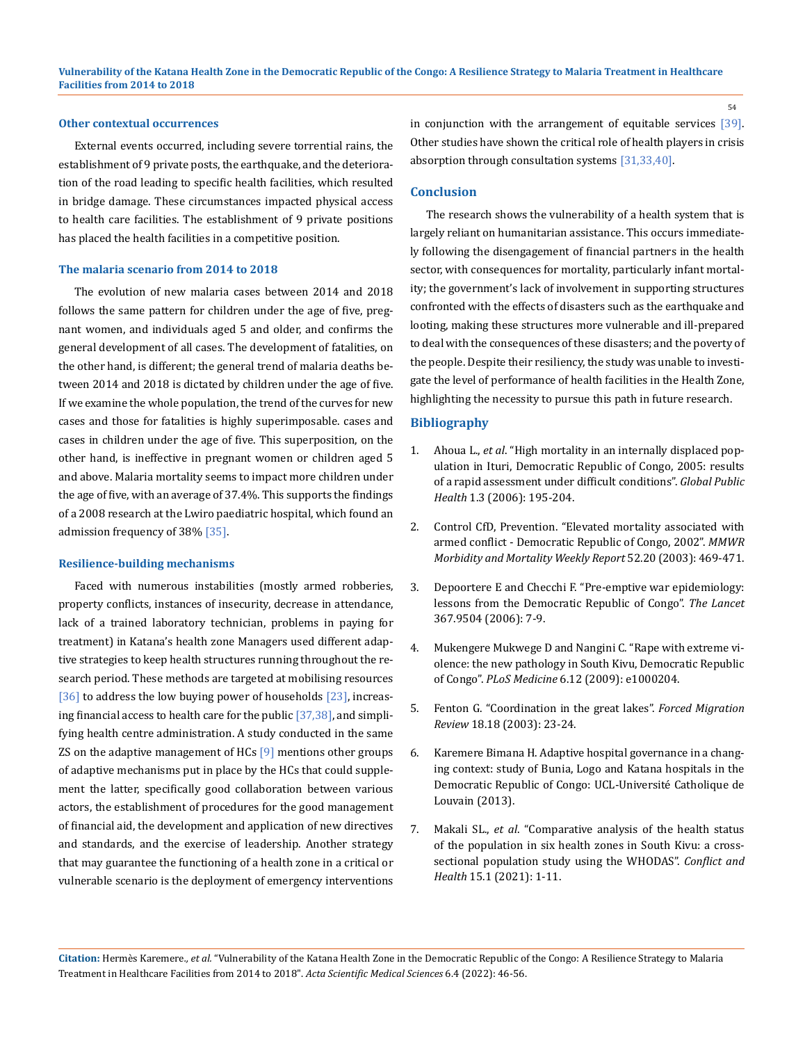#### **Other contextual occurrences**

External events occurred, including severe torrential rains, the establishment of 9 private posts, the earthquake, and the deterioration of the road leading to specific health facilities, which resulted in bridge damage. These circumstances impacted physical access to health care facilities. The establishment of 9 private positions has placed the health facilities in a competitive position.

#### **The malaria scenario from 2014 to 2018**

The evolution of new malaria cases between 2014 and 2018 follows the same pattern for children under the age of five, pregnant women, and individuals aged 5 and older, and confirms the general development of all cases. The development of fatalities, on the other hand, is different; the general trend of malaria deaths between 2014 and 2018 is dictated by children under the age of five. If we examine the whole population, the trend of the curves for new cases and those for fatalities is highly superimposable. cases and cases in children under the age of five. This superposition, on the other hand, is ineffective in pregnant women or children aged 5 and above. Malaria mortality seems to impact more children under the age of five, with an average of 37.4%. This supports the findings of a 2008 research at the Lwiro paediatric hospital, which found an admission frequency of 38% [35].

#### **Resilience-building mechanisms**

Faced with numerous instabilities (mostly armed robberies, property conflicts, instances of insecurity, decrease in attendance, lack of a trained laboratory technician, problems in paying for treatment) in Katana's health zone Managers used different adaptive strategies to keep health structures running throughout the research period. These methods are targeted at mobilising resources [36] to address the low buying power of households [23], increasing financial access to health care for the public  $[37,38]$ , and simplifying health centre administration. A study conducted in the same ZS on the adaptive management of HCs  $[9]$  mentions other groups of adaptive mechanisms put in place by the HCs that could supplement the latter, specifically good collaboration between various actors, the establishment of procedures for the good management of financial aid, the development and application of new directives and standards, and the exercise of leadership. Another strategy that may guarantee the functioning of a health zone in a critical or vulnerable scenario is the deployment of emergency interventions

in conjunction with the arrangement of equitable services [39]. Other studies have shown the critical role of health players in crisis absorption through consultation systems [31,33,40].

#### **Conclusion**

The research shows the vulnerability of a health system that is largely reliant on humanitarian assistance. This occurs immediately following the disengagement of financial partners in the health sector, with consequences for mortality, particularly infant mortality; the government's lack of involvement in supporting structures confronted with the effects of disasters such as the earthquake and looting, making these structures more vulnerable and ill-prepared to deal with the consequences of these disasters; and the poverty of the people. Despite their resiliency, the study was unable to investigate the level of performance of health facilities in the Health Zone, highlighting the necessity to pursue this path in future research.

#### **Bibliography**

- 1. Ahoua L., *et al*[. "High mortality in an internally displaced pop](https://pubmed.ncbi.nlm.nih.gov/19153907/)[ulation in Ituri, Democratic Republic of Congo, 2005: results](https://pubmed.ncbi.nlm.nih.gov/19153907/)  [of a rapid assessment under difficult conditions".](https://pubmed.ncbi.nlm.nih.gov/19153907/) *Global Public Health* [1.3 \(2006\): 195-204.](https://pubmed.ncbi.nlm.nih.gov/19153907/)
- 2. [Control CfD, Prevention. "Elevated mortality associated with](https://pubmed.ncbi.nlm.nih.gov/12807080/)  [armed conflict - Democratic Republic of Congo, 2002".](https://pubmed.ncbi.nlm.nih.gov/12807080/) *MMWR [Morbidity and Mortality Weekly Report](https://pubmed.ncbi.nlm.nih.gov/12807080/)* 52.20 (2003): 469-471.
- 3. Depoortere E and Checchi F. "Pre-emptive war epidemiology: lessons from the Democratic Republic of Congo". *The Lancet* 367.9504 (2006): 7-9.
- 4. Mukengere Mukwege D and Nangini C. "Rape with extreme violence: the new pathology in South Kivu, Democratic Republic of Congo". *PLoS Medicine* 6.12 (2009): e1000204.
- 5. [Fenton G. "Coordination in the great lakes".](https://www.fmreview.org/logistics/fenton) *Forced Migration Review* [18.18 \(2003\): 23-24.](https://www.fmreview.org/logistics/fenton)
- 6. Karemere Bimana H. Adaptive hospital governance in a changing context: study of Bunia, Logo and Katana hospitals in the Democratic Republic of Congo: UCL-Université Catholique de Louvain (2013).
- 7. Makali SL., *et al*. "Comparative analysis of the health status of the population in six health zones in South Kivu: a crosssectional population study using the WHODAS". *Conflict and Health* 15.1 (2021): 1-11.

**Citation:** Hermès Karemere*., et al.* "Vulnerability of the Katana Health Zone in the Democratic Republic of the Congo: A Resilience Strategy to Malaria Treatment in Healthcare Facilities from 2014 to 2018". *Acta Scientific Medical Sciences* 6.4 (2022): 46-56.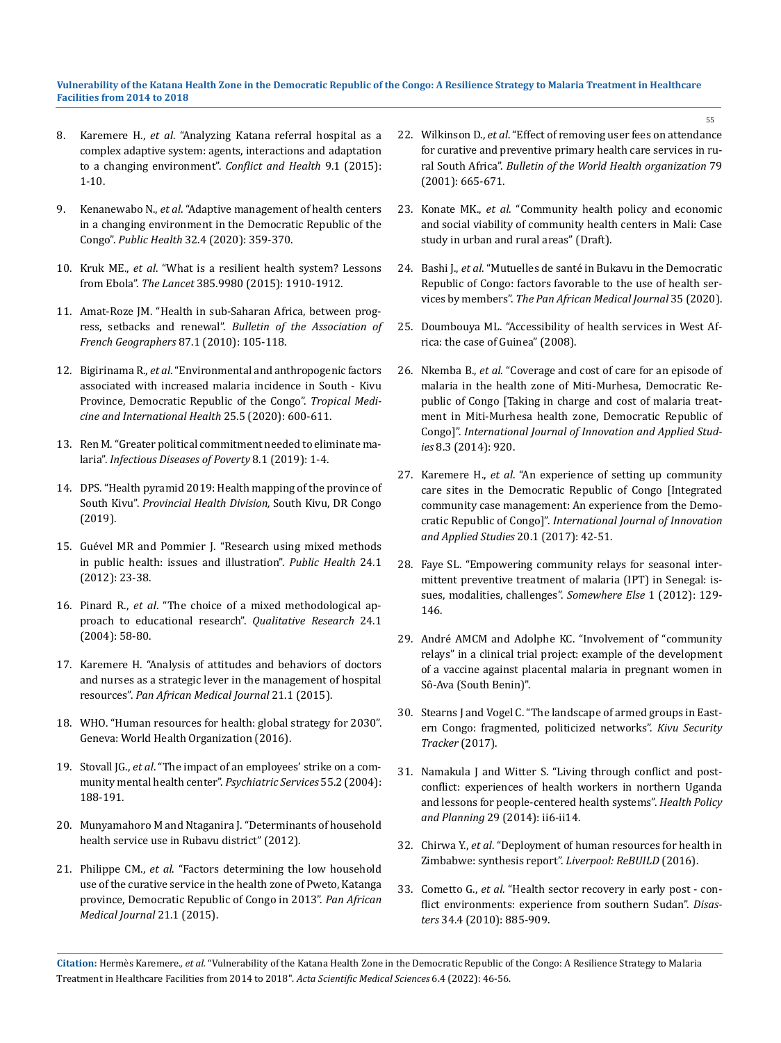- 8. Karemere H., *et al*[. "Analyzing Katana referral hospital as a](https://conflictandhealth.biomedcentral.com/articles/10.1186/s13031-015-0046-5)  [complex adaptive system: agents, interactions and adaptation](https://conflictandhealth.biomedcentral.com/articles/10.1186/s13031-015-0046-5)  [to a changing environment".](https://conflictandhealth.biomedcentral.com/articles/10.1186/s13031-015-0046-5) *Conflict and Health* 9.1 (2015): [1-10.](https://conflictandhealth.biomedcentral.com/articles/10.1186/s13031-015-0046-5)
- 9. Kenanewabo N., *et al*. "Adaptive management of health centers in a changing environment in the Democratic Republic of the Congo". *Public Health* 32.4 (2020): 359-370.
- 10. Kruk ME., *et al*[. "What is a resilient health system? Lessons](https://www.thelancet.com/journals/lancet/article/PIIS0140-6736(15)60755-3/fulltext)  from Ebola". *The Lancet* [385.9980 \(2015\): 1910-1912.](https://www.thelancet.com/journals/lancet/article/PIIS0140-6736(15)60755-3/fulltext)
- 11. [Amat-Roze JM. "Health in sub-Saharan Africa, between prog](https://www.researchgate.net/publication/292555320_Health_in_sub-saharan_africa_between_progress_setbacks_and_renewal)ress, setbacks and renewal". *[Bulletin of the Association of](https://www.researchgate.net/publication/292555320_Health_in_sub-saharan_africa_between_progress_setbacks_and_renewal)  [French Geographers](https://www.researchgate.net/publication/292555320_Health_in_sub-saharan_africa_between_progress_setbacks_and_renewal)* 87.1 (2010): 105-118.
- 12. Bigirinama R., *et al*[. "Environmental and anthropogenic factors](https://pubmed.ncbi.nlm.nih.gov/32017290/)  [associated with increased malaria incidence in South - Kivu](https://pubmed.ncbi.nlm.nih.gov/32017290/)  [Province, Democratic Republic of the Congo".](https://pubmed.ncbi.nlm.nih.gov/32017290/) *Tropical Medi[cine and International Health](https://pubmed.ncbi.nlm.nih.gov/32017290/)* 25.5 (2020): 600-611.
- 13. [Ren M. "Greater political commitment needed to eliminate ma](https://idpjournal.biomedcentral.com/articles/10.1186/s40249-019-0542-8)laria". *[Infectious Diseases of Poverty](https://idpjournal.biomedcentral.com/articles/10.1186/s40249-019-0542-8)* 8.1 (2019): 1-4.
- 14. DPS. "Health pyramid 2019: Health mapping of the province of South Kivu". *Provincial Health Division,* South Kivu, DR Congo (2019).
- 15. Guével MR and Pommier J. "Research using mixed methods in public health: issues and illustration". *Public Health* 24.1 (2012): 23-38.
- 16. Pinard R., *et al*. "The choice of a mixed methodological approach to educational research". *Qualitative Research* 24.1 (2004): 58-80.
- 17. [Karemere H. "Analysis of attitudes and behaviors of doctors](https://www.researchgate.net/publication/286099712_Analysis_of_attitudes_and_behaviors_of_doctors_and_nurses_as_a_strategic_lever_for_hospital_resources_management)  [and nurses as a strategic lever in the management of hospital](https://www.researchgate.net/publication/286099712_Analysis_of_attitudes_and_behaviors_of_doctors_and_nurses_as_a_strategic_lever_for_hospital_resources_management)  resources". *[Pan African Medical Journal](https://www.researchgate.net/publication/286099712_Analysis_of_attitudes_and_behaviors_of_doctors_and_nurses_as_a_strategic_lever_for_hospital_resources_management)* 21.1 (2015).
- 18. WHO. "Human resources for health: global strategy for 2030". Geneva: World Health Organization (2016).
- 19. Stovall JG., *et al*[. "The impact of an employees' strike on a com](https://ps.psychiatryonline.org/doi/10.1176/appi.ps.55.2.188)[munity mental health center".](https://ps.psychiatryonline.org/doi/10.1176/appi.ps.55.2.188) *Psychiatric Services* 55.2 (2004): [188-191.](https://ps.psychiatryonline.org/doi/10.1176/appi.ps.55.2.188)
- 20. Munyamahoro M and Ntaganira J. "Determinants of household health service use in Rubavu district" (2012).
- 21. Philippe CM., *et al*. "Factors determining the low household use of the curative service in the health zone of Pweto, Katanga province, Democratic Republic of Congo in 2013". *Pan African Medical Journal* 21.1 (2015).
- 22. Wilkinson D., *et al*[. "Effect of removing user fees on attendance](https://pubmed.ncbi.nlm.nih.gov/11477970/)  [for curative and preventive primary health care services in ru](https://pubmed.ncbi.nlm.nih.gov/11477970/)ral South Africa". *[Bulletin of the World Health organization](https://pubmed.ncbi.nlm.nih.gov/11477970/)* 79 [\(2001\): 665-671.](https://pubmed.ncbi.nlm.nih.gov/11477970/)
- 23. Konate MK., *et al*. "Community health policy and economic and social viability of community health centers in Mali: Case study in urban and rural areas" (Draft).
- 24. Bashi J., *et al*[. "Mutuelles de santé in Bukavu in the Democratic](https://pubmed.ncbi.nlm.nih.gov/32636998/)  [Republic of Congo: factors favorable to the use of health ser](https://pubmed.ncbi.nlm.nih.gov/32636998/)vices by members". *[The Pan African Medical Journal](https://pubmed.ncbi.nlm.nih.gov/32636998/)* 35 (2020).
- 25. Doumbouya ML. "Accessibility of health services in West Africa: the case of Guinea" (2008).
- 26. Nkemba B., *et al*. "Coverage and cost of care for an episode of malaria in the health zone of Miti-Murhesa, Democratic Republic of Congo [Taking in charge and cost of malaria treatment in Miti-Murhesa health zone, Democratic Republic of Congo]". *International Journal of Innovation and Applied Studies* 8.3 (2014): 920.
- 27. Karemere H., *et al*. "An experience of setting up community care sites in the Democratic Republic of Congo [Integrated community case management: An experience from the Democratic Republic of Congo]". *International Journal of Innovation and Applied Studies* 20.1 (2017): 42-51.
- 28. [Faye SL. "Empowering community relays for seasonal inter](https://www.cairn-int.info/article-E_AUTR_060_0129--empowering-community-health-workers-for.htm)[mittent preventive treatment of malaria \(IPT\) in Senegal: is](https://www.cairn-int.info/article-E_AUTR_060_0129--empowering-community-health-workers-for.htm)[sues, modalities, challenges".](https://www.cairn-int.info/article-E_AUTR_060_0129--empowering-community-health-workers-for.htm) *Somewhere Else* 1 (2012): 129- [146.](https://www.cairn-int.info/article-E_AUTR_060_0129--empowering-community-health-workers-for.htm)
- 29. André AMCM and Adolphe KC. "Involvement of "community relays" in a clinical trial project: example of the development of a vaccine against placental malaria in pregnant women in Sô-Ava (South Benin)".
- 30. [Stearns J and Vogel C. "The landscape of armed groups in East](https://reliefweb.int/report/democratic-republic-congo/landscape-armed-groups-eastern-congo-fragmented-politicized)[ern Congo: fragmented, politicized networks".](https://reliefweb.int/report/democratic-republic-congo/landscape-armed-groups-eastern-congo-fragmented-politicized) *Kivu Security [Tracker](https://reliefweb.int/report/democratic-republic-congo/landscape-armed-groups-eastern-congo-fragmented-politicized)* (2017).
- 31. Namakula J and Witter S. "Living through conflict and postconflict: experiences of health workers in northern Uganda and lessons for people-centered health systems". *Health Policy and Planning* 29 (2014): ii6-ii14.
- 32. Chirwa Y., *et al*[. "Deployment of human resources for health in](https://www.researchgate.net/publication/311669718_Deployment_of_Human_Resources_for_Health_in_Zimbabwe_Synthesis_report)  [Zimbabwe: synthesis report".](https://www.researchgate.net/publication/311669718_Deployment_of_Human_Resources_for_Health_in_Zimbabwe_Synthesis_report) *Liverpool: ReBUILD* (2016).
- 33. Cometto G., *et al*[. "Health sector recovery in early post con](https://pubmed.ncbi.nlm.nih.gov/20561340/)[flict environments: experience from southern Sudan".](https://pubmed.ncbi.nlm.nih.gov/20561340/) *Disasters* [34.4 \(2010\): 885-909.](https://pubmed.ncbi.nlm.nih.gov/20561340/)

**Citation:** Hermès Karemere*., et al.* "Vulnerability of the Katana Health Zone in the Democratic Republic of the Congo: A Resilience Strategy to Malaria Treatment in Healthcare Facilities from 2014 to 2018". *Acta Scientific Medical Sciences* 6.4 (2022): 46-56.